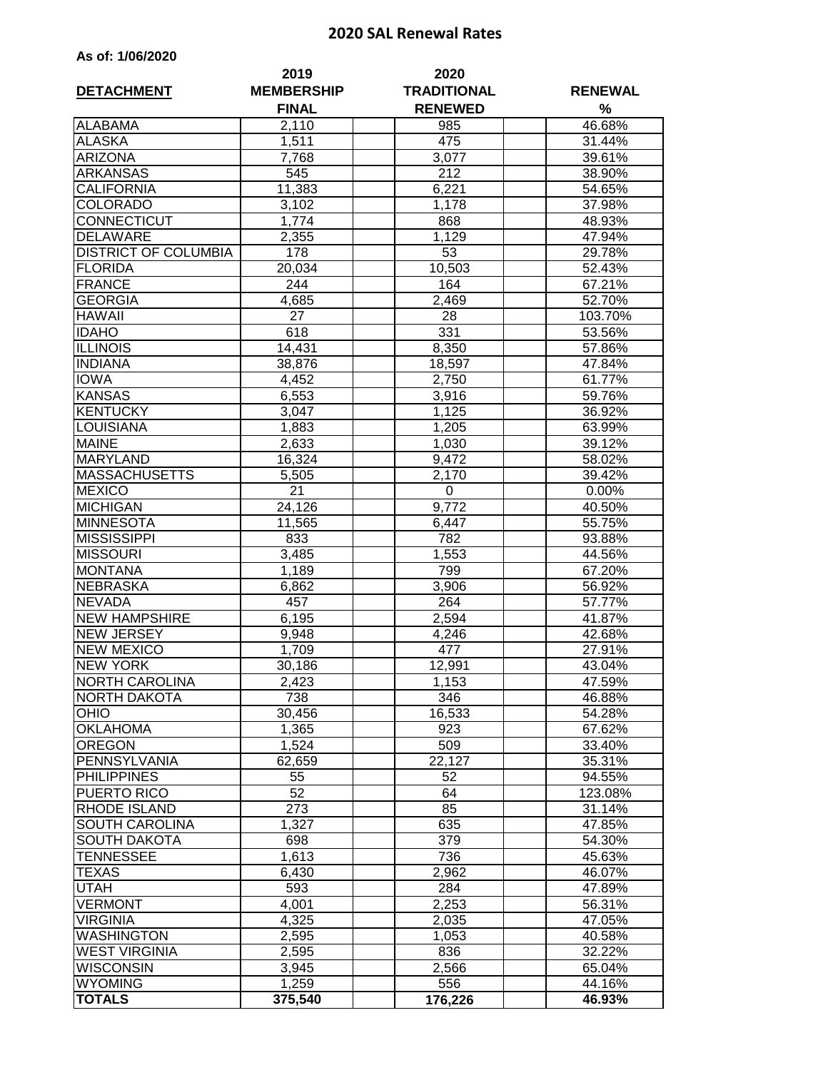## **2020 SAL Renewal Rates**

| <b>DETACHMENT</b>           | 2019<br><b>MEMBERSHIP</b><br><b>FINAL</b> | 2020<br><b>TRADITIONAL</b><br><b>RENEWED</b> | <b>RENEWAL</b><br>$\%$ |  |
|-----------------------------|-------------------------------------------|----------------------------------------------|------------------------|--|
| <b>ALABAMA</b>              | 2,110                                     | 985                                          | 46.68%                 |  |
| <b>ALASKA</b>               | 1,511                                     | 475                                          | 31.44%                 |  |
| <b>ARIZONA</b>              | 7,768                                     | 3,077                                        | 39.61%                 |  |
| <b>ARKANSAS</b>             | 545                                       | 212                                          | 38.90%                 |  |
| <b>CALIFORNIA</b>           | 11,383                                    | 6,221                                        | 54.65%                 |  |
| <b>COLORADO</b>             | 3,102                                     | 1,178                                        | 37.98%                 |  |
| <b>CONNECTICUT</b>          | 1,774                                     | 868                                          | 48.93%                 |  |
| <b>DELAWARE</b>             | 2,355                                     | 1,129                                        | 47.94%                 |  |
| <b>DISTRICT OF COLUMBIA</b> | 178                                       | $\overline{53}$                              | 29.78%                 |  |
| <b>FLORIDA</b>              | 20,034                                    | 10,503                                       | 52.43%                 |  |
| <b>FRANCE</b>               | 244                                       | 164                                          | 67.21%                 |  |
| <b>GEORGIA</b>              | 4,685                                     | 2,469                                        | 52.70%                 |  |
| <b>HAWAII</b>               | 27                                        | 28                                           | 103.70%                |  |
| <b>IDAHO</b>                | 618                                       | 331                                          | 53.56%                 |  |
| <b>ILLINOIS</b>             | 14,431                                    | 8,350                                        | 57.86%                 |  |
| <b>INDIANA</b>              | 38,876                                    | 18,597                                       | 47.84%                 |  |
| <b>IOWA</b>                 | 4,452                                     | 2,750                                        | 61.77%                 |  |
| <b>KANSAS</b>               | 6,553                                     | 3,916                                        | 59.76%                 |  |
| <b>KENTUCKY</b>             | 3,047                                     | 1,125                                        | 36.92%                 |  |
| LOUISIANA                   | 1,883                                     | 1,205                                        | 63.99%                 |  |
| <b>MAINE</b>                | 2,633                                     | 1,030                                        | 39.12%                 |  |
| <b>MARYLAND</b>             | 16,324                                    | 9,472                                        | 58.02%                 |  |
| <b>MASSACHUSETTS</b>        | 5,505                                     | 2,170                                        | 39.42%                 |  |
| <b>MEXICO</b>               | 21                                        | $\pmb{0}$                                    | 0.00%                  |  |
| <b>MICHIGAN</b>             | 24,126                                    | 9,772                                        | 40.50%                 |  |
| <b>MINNESOTA</b>            | 11,565                                    | 6,447                                        | 55.75%                 |  |
| <b>MISSISSIPPI</b>          | 833                                       | 782                                          | 93.88%                 |  |
| <b>MISSOURI</b>             | 3,485                                     | 1,553                                        | 44.56%                 |  |
| <b>MONTANA</b>              | 1,189                                     | 799                                          | 67.20%                 |  |
| <b>NEBRASKA</b>             | 6,862                                     | 3,906                                        | 56.92%                 |  |
| <b>NEVADA</b>               | 457                                       | 264                                          | 57.77%                 |  |
| <b>NEW HAMPSHIRE</b>        | 6,195                                     | 2,594                                        | 41.87%                 |  |
| <b>NEW JERSEY</b>           | 9,948                                     | 4,246                                        | 42.68%                 |  |
| <b>NEW MEXICO</b>           | 1,709                                     | 477                                          | 27.91%                 |  |
| <b>NEW YORK</b>             | 30,186                                    | 12,991                                       | 43.04%                 |  |
| <b>NORTH CAROLINA</b>       | 2,423                                     | 1,153                                        | 47.59%                 |  |
| <b>NORTH DAKOTA</b>         | 738                                       | 346                                          | 46.88%                 |  |
| <b>OHIO</b>                 | 30,456                                    | 16,533                                       | 54.28%                 |  |
| <b>OKLAHOMA</b>             | 1,365                                     | 923                                          | 67.62%                 |  |
| <b>OREGON</b>               | 1,524                                     | 509                                          | 33.40%                 |  |
| PENNSYLVANIA                | 62,659                                    | 22,127                                       | 35.31%                 |  |
| <b>PHILIPPINES</b>          | 55                                        | 52                                           | 94.55%                 |  |
| <b>PUERTO RICO</b>          | 52                                        | 64                                           | 123.08%                |  |
| <b>RHODE ISLAND</b>         | 273                                       | 85                                           | 31.14%                 |  |
| <b>SOUTH CAROLINA</b>       | 1,327                                     | 635                                          | 47.85%                 |  |
| <b>SOUTH DAKOTA</b>         | 698                                       | 379                                          | 54.30%                 |  |
| <b>TENNESSEE</b>            | 1,613                                     | 736                                          | 45.63%                 |  |
| <b>TEXAS</b>                | 6,430                                     | 2,962                                        | 46.07%                 |  |
| <b>UTAH</b>                 | 593                                       | 284                                          | 47.89%                 |  |
| <b>VERMONT</b>              | 4,001                                     | 2,253                                        | 56.31%                 |  |
| <b>VIRGINIA</b>             | 4,325                                     | 2,035                                        | 47.05%                 |  |
| <b>WASHINGTON</b>           | 2,595                                     | 1,053                                        | 40.58%                 |  |
| <b>WEST VIRGINIA</b>        | 2,595                                     | 836                                          | 32.22%                 |  |
| <b>WISCONSIN</b>            | 3,945                                     | 2,566                                        | 65.04%                 |  |
| <b>WYOMING</b>              | 1,259                                     | 556                                          | 44.16%                 |  |
| <b>TOTALS</b>               | 375,540                                   | 176,226                                      | 46.93%                 |  |